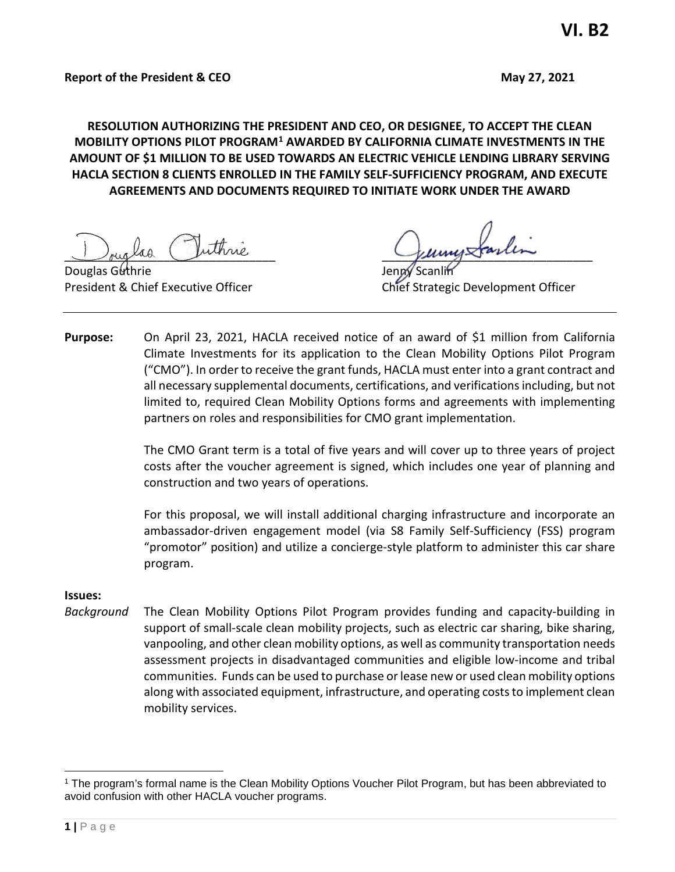**RESOLUTION AUTHORIZING THE PRESIDENT AND CEO, OR DESIGNEE, TO ACCEPT THE CLEAN MOBILITY OPTIONS PILOT PROGRAM[1](#page-0-0) AWARDED BY CALIFORNIA CLIMATE INVESTMENTS IN THE AMOUNT OF \$1 MILLION TO BE USED TOWARDS AN ELECTRIC VEHICLE LENDING LIBRARY SERVING HACLA SECTION 8 CLIENTS ENROLLED IN THE FAMILY SELF-SUFFICIENCY PROGRAM, AND EXECUTE AGREEMENTS AND DOCUMENTS REQUIRED TO INITIATE WORK UNDER THE AWARD**

Jouglas Juinne Jumpstania

Douglas Guthrie

President & Chief Executive Officer Chief Strategic Development Officer

**Purpose:** On April 23, 2021, HACLA received notice of an award of \$1 million from California Climate Investments for its application to the Clean Mobility Options Pilot Program ("CMO"). In order to receive the grant funds, HACLA must enter into a grant contract and all necessary supplemental documents, certifications, and verifications including, but not limited to, required Clean Mobility Options forms and agreements with implementing partners on roles and responsibilities for CMO grant implementation.

> The CMO Grant term is a total of five years and will cover up to three years of project costs after the voucher agreement is signed, which includes one year of planning and construction and two years of operations.

> For this proposal, we will install additional charging infrastructure and incorporate an ambassador-driven engagement model (via S8 Family Self-Sufficiency (FSS) program "promotor" position) and utilize a concierge-style platform to administer this car share program.

#### **Issues:**

*Background* The Clean Mobility Options Pilot Program provides funding and capacity-building in support of small-scale clean mobility projects, such as electric car sharing, bike sharing, vanpooling, and other clean mobility options, as well as community transportation needs assessment projects in disadvantaged communities and eligible low-income and tribal communities. Funds can be used to purchase or lease new or used clean mobility options along with associated equipment, infrastructure, and operating costs to implement clean mobility services.

<span id="page-0-0"></span><sup>1</sup> The program's formal name is the Clean Mobility Options Voucher Pilot Program, but has been abbreviated to avoid confusion with other HACLA voucher programs.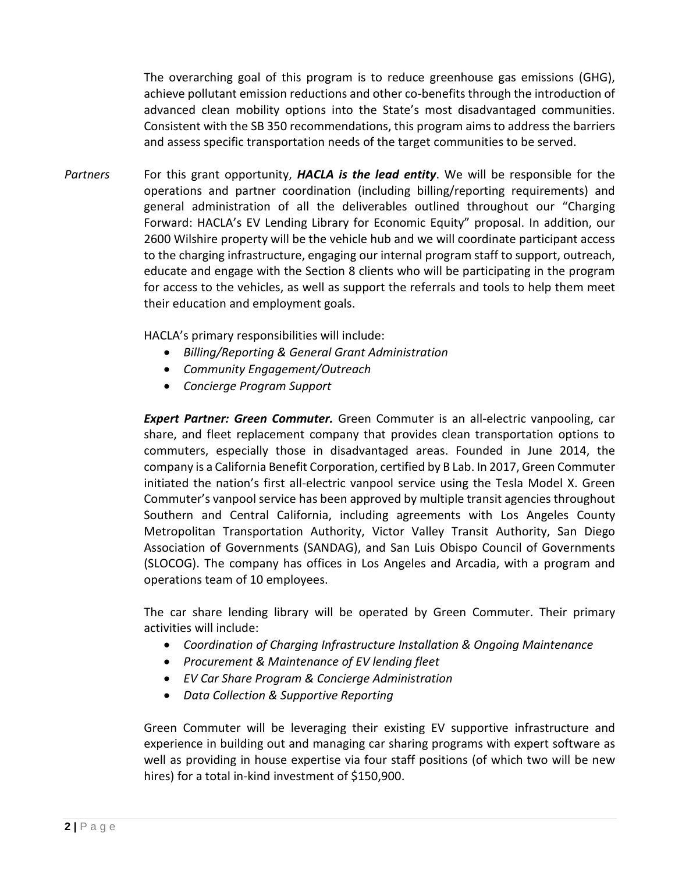The overarching goal of this program is to reduce greenhouse gas emissions (GHG), achieve pollutant emission reductions and other co-benefits through the introduction of advanced clean mobility options into the State's most disadvantaged communities. Consistent with the SB 350 recommendations, this program aims to address the barriers and assess specific transportation needs of the target communities to be served.

*Partners* For this grant opportunity, *HACLA is the lead entity*. We will be responsible for the operations and partner coordination (including billing/reporting requirements) and general administration of all the deliverables outlined throughout our "Charging Forward: HACLA's EV Lending Library for Economic Equity" proposal. In addition, our 2600 Wilshire property will be the vehicle hub and we will coordinate participant access to the charging infrastructure, engaging our internal program staff to support, outreach, educate and engage with the Section 8 clients who will be participating in the program for access to the vehicles, as well as support the referrals and tools to help them meet their education and employment goals.

HACLA's primary responsibilities will include:

- *Billing/Reporting & General Grant Administration*
- *Community Engagement/Outreach*
- *Concierge Program Support*

*Expert Partner: Green Commuter.* Green Commuter is an all-electric vanpooling, car share, and fleet replacement company that provides clean transportation options to commuters, especially those in disadvantaged areas. Founded in June 2014, the company is a California Benefit Corporation, certified by B Lab. In 2017, Green Commuter initiated the nation's first all-electric vanpool service using the Tesla Model X. Green Commuter's vanpool service has been approved by multiple transit agencies throughout Southern and Central California, including agreements with Los Angeles County Metropolitan Transportation Authority, Victor Valley Transit Authority, San Diego Association of Governments (SANDAG), and San Luis Obispo Council of Governments (SLOCOG). The company has offices in Los Angeles and Arcadia, with a program and operations team of 10 employees.

The car share lending library will be operated by Green Commuter. Their primary activities will include:

- *Coordination of Charging Infrastructure Installation & Ongoing Maintenance*
- *Procurement & Maintenance of EV lending fleet*
- *EV Car Share Program & Concierge Administration*
- *Data Collection & Supportive Reporting*

Green Commuter will be leveraging their existing EV supportive infrastructure and experience in building out and managing car sharing programs with expert software as well as providing in house expertise via four staff positions (of which two will be new hires) for a total in-kind investment of \$150,900.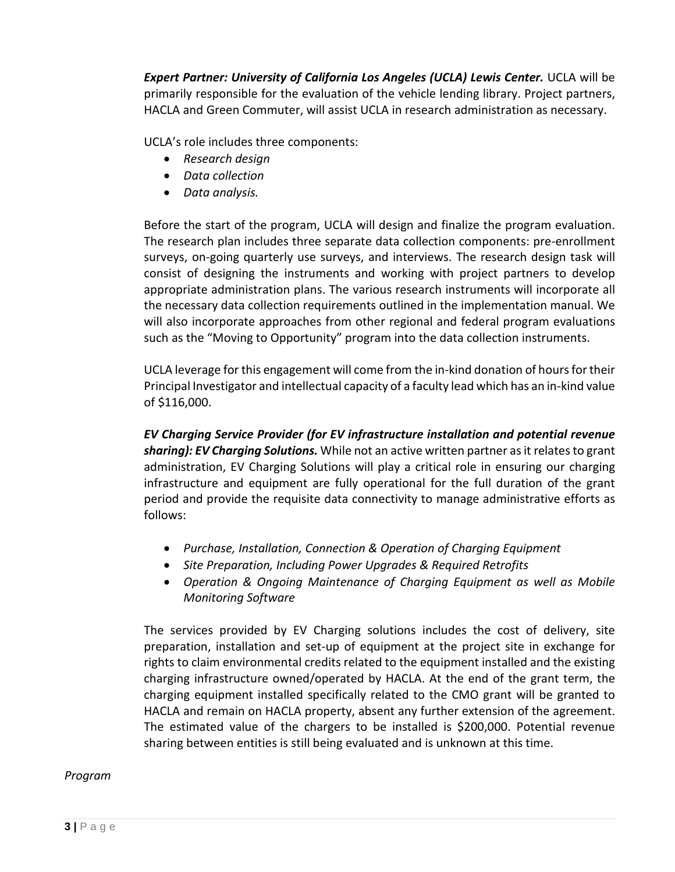*Expert Partner: University of California Los Angeles (UCLA) Lewis Center.* UCLA will be primarily responsible for the evaluation of the vehicle lending library. Project partners, HACLA and Green Commuter, will assist UCLA in research administration as necessary.

UCLA's role includes three components:

- *Research design*
- *Data collection*
- *Data analysis.*

Before the start of the program, UCLA will design and finalize the program evaluation. The research plan includes three separate data collection components: pre-enrollment surveys, on-going quarterly use surveys, and interviews. The research design task will consist of designing the instruments and working with project partners to develop appropriate administration plans. The various research instruments will incorporate all the necessary data collection requirements outlined in the implementation manual. We will also incorporate approaches from other regional and federal program evaluations such as the "Moving to Opportunity" program into the data collection instruments.

UCLA leverage for this engagement will come from the in-kind donation of hours for their Principal Investigator and intellectual capacity of a faculty lead which has an in-kind value of \$116,000.

*EV Charging Service Provider (for EV infrastructure installation and potential revenue sharing): EV Charging Solutions.* While not an active written partner as it relates to grant administration, EV Charging Solutions will play a critical role in ensuring our charging infrastructure and equipment are fully operational for the full duration of the grant period and provide the requisite data connectivity to manage administrative efforts as follows:

- *Purchase, Installation, Connection & Operation of Charging Equipment*
- *Site Preparation, Including Power Upgrades & Required Retrofits*
- *Operation & Ongoing Maintenance of Charging Equipment as well as Mobile Monitoring Software*

The services provided by EV Charging solutions includes the cost of delivery, site preparation, installation and set-up of equipment at the project site in exchange for rights to claim environmental credits related to the equipment installed and the existing charging infrastructure owned/operated by HACLA. At the end of the grant term, the charging equipment installed specifically related to the CMO grant will be granted to HACLA and remain on HACLA property, absent any further extension of the agreement. The estimated value of the chargers to be installed is \$200,000. Potential revenue sharing between entities is still being evaluated and is unknown at this time.

# *Program*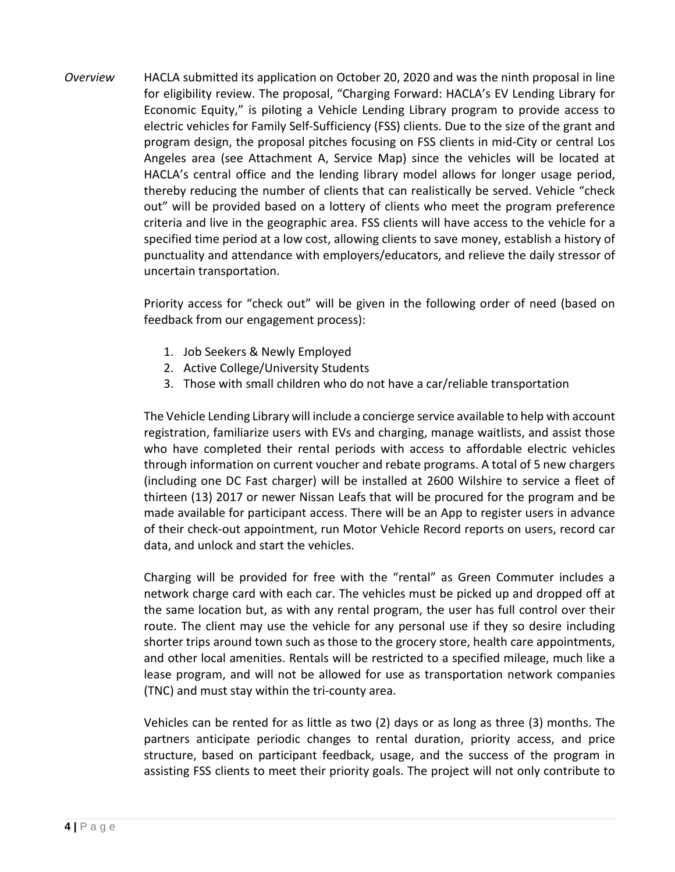*Overview* HACLA submitted its application on October 20, 2020 and was the ninth proposal in line for eligibility review. The proposal, "Charging Forward: HACLA's EV Lending Library for Economic Equity," is piloting a Vehicle Lending Library program to provide access to electric vehicles for Family Self-Sufficiency (FSS) clients. Due to the size of the grant and program design, the proposal pitches focusing on FSS clients in mid-City or central Los Angeles area (see Attachment A, Service Map) since the vehicles will be located at HACLA's central office and the lending library model allows for longer usage period, thereby reducing the number of clients that can realistically be served. Vehicle "check out" will be provided based on a lottery of clients who meet the program preference criteria and live in the geographic area. FSS clients will have access to the vehicle for a specified time period at a low cost, allowing clients to save money, establish a history of punctuality and attendance with employers/educators, and relieve the daily stressor of uncertain transportation.

> Priority access for "check out" will be given in the following order of need (based on feedback from our engagement process):

- 1. Job Seekers & Newly Employed
- 2. Active College/University Students
- 3. Those with small children who do not have a car/reliable transportation

The Vehicle Lending Library will include a concierge service available to help with account registration, familiarize users with EVs and charging, manage waitlists, and assist those who have completed their rental periods with access to affordable electric vehicles through information on current voucher and rebate programs. A total of 5 new chargers (including one DC Fast charger) will be installed at 2600 Wilshire to service a fleet of thirteen (13) 2017 or newer Nissan Leafs that will be procured for the program and be made available for participant access. There will be an App to register users in advance of their check-out appointment, run Motor Vehicle Record reports on users, record car data, and unlock and start the vehicles.

Charging will be provided for free with the "rental" as Green Commuter includes a network charge card with each car. The vehicles must be picked up and dropped off at the same location but, as with any rental program, the user has full control over their route. The client may use the vehicle for any personal use if they so desire including shorter trips around town such as those to the grocery store, health care appointments, and other local amenities. Rentals will be restricted to a specified mileage, much like a lease program, and will not be allowed for use as transportation network companies (TNC) and must stay within the tri-county area.

Vehicles can be rented for as little as two (2) days or as long as three (3) months. The partners anticipate periodic changes to rental duration, priority access, and price structure, based on participant feedback, usage, and the success of the program in assisting FSS clients to meet their priority goals. The project will not only contribute to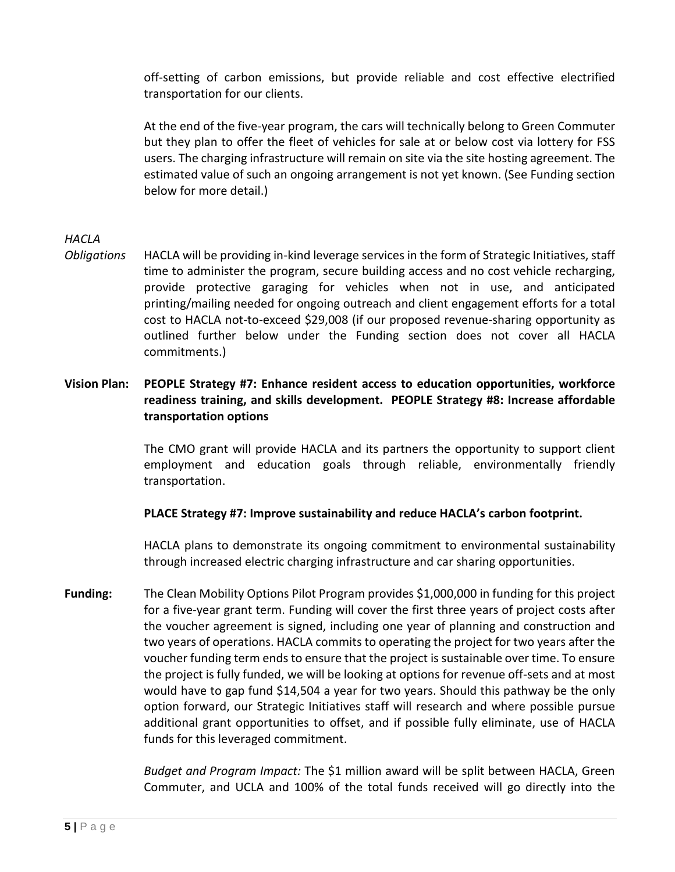off-setting of carbon emissions, but provide reliable and cost effective electrified transportation for our clients.

At the end of the five-year program, the cars will technically belong to Green Commuter but they plan to offer the fleet of vehicles for sale at or below cost via lottery for FSS users. The charging infrastructure will remain on site via the site hosting agreement. The estimated value of such an ongoing arrangement is not yet known. (See Funding section below for more detail.)

# *HACLA*

*Obligations* HACLA will be providing in-kind leverage services in the form of Strategic Initiatives, staff time to administer the program, secure building access and no cost vehicle recharging, provide protective garaging for vehicles when not in use, and anticipated printing/mailing needed for ongoing outreach and client engagement efforts for a total cost to HACLA not-to-exceed \$29,008 (if our proposed revenue-sharing opportunity as outlined further below under the Funding section does not cover all HACLA commitments.)

# **Vision Plan: PEOPLE Strategy #7: Enhance resident access to education opportunities, workforce readiness training, and skills development. PEOPLE Strategy #8: Increase affordable transportation options**

The CMO grant will provide HACLA and its partners the opportunity to support client employment and education goals through reliable, environmentally friendly transportation.

#### **PLACE Strategy #7: Improve sustainability and reduce HACLA's carbon footprint.**

HACLA plans to demonstrate its ongoing commitment to environmental sustainability through increased electric charging infrastructure and car sharing opportunities.

**Funding:** The Clean Mobility Options Pilot Program provides \$1,000,000 in funding for this project for a five-year grant term. Funding will cover the first three years of project costs after the voucher agreement is signed, including one year of planning and construction and two years of operations. HACLA commits to operating the project for two years after the voucher funding term ends to ensure that the project is sustainable over time. To ensure the project is fully funded, we will be looking at options for revenue off-sets and at most would have to gap fund \$14,504 a year for two years. Should this pathway be the only option forward, our Strategic Initiatives staff will research and where possible pursue additional grant opportunities to offset, and if possible fully eliminate, use of HACLA funds for this leveraged commitment.

> *Budget and Program Impact:* The \$1 million award will be split between HACLA, Green Commuter, and UCLA and 100% of the total funds received will go directly into the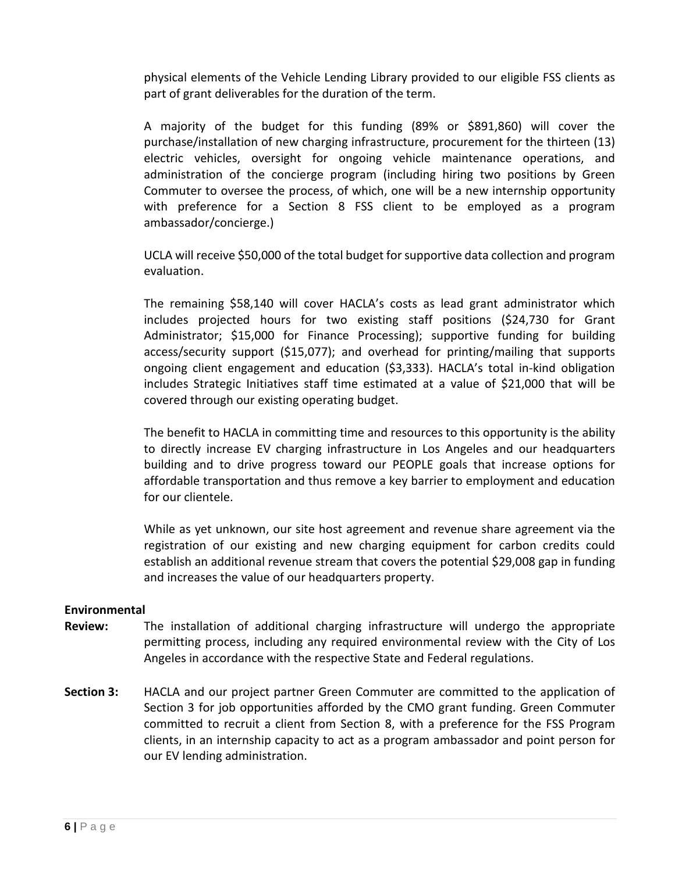physical elements of the Vehicle Lending Library provided to our eligible FSS clients as part of grant deliverables for the duration of the term.

A majority of the budget for this funding (89% or \$891,860) will cover the purchase/installation of new charging infrastructure, procurement for the thirteen (13) electric vehicles, oversight for ongoing vehicle maintenance operations, and administration of the concierge program (including hiring two positions by Green Commuter to oversee the process, of which, one will be a new internship opportunity with preference for a Section 8 FSS client to be employed as a program ambassador/concierge.)

UCLA will receive \$50,000 of the total budget for supportive data collection and program evaluation.

The remaining \$58,140 will cover HACLA's costs as lead grant administrator which includes projected hours for two existing staff positions (\$24,730 for Grant Administrator; \$15,000 for Finance Processing); supportive funding for building access/security support (\$15,077); and overhead for printing/mailing that supports ongoing client engagement and education (\$3,333). HACLA's total in-kind obligation includes Strategic Initiatives staff time estimated at a value of \$21,000 that will be covered through our existing operating budget.

The benefit to HACLA in committing time and resources to this opportunity is the ability to directly increase EV charging infrastructure in Los Angeles and our headquarters building and to drive progress toward our PEOPLE goals that increase options for affordable transportation and thus remove a key barrier to employment and education for our clientele.

While as yet unknown, our site host agreement and revenue share agreement via the registration of our existing and new charging equipment for carbon credits could establish an additional revenue stream that covers the potential \$29,008 gap in funding and increases the value of our headquarters property.

#### **Environmental**

- **Review:** The installation of additional charging infrastructure will undergo the appropriate permitting process, including any required environmental review with the City of Los Angeles in accordance with the respective State and Federal regulations.
- **Section 3:** HACLA and our project partner Green Commuter are committed to the application of Section 3 for job opportunities afforded by the CMO grant funding. Green Commuter committed to recruit a client from Section 8, with a preference for the FSS Program clients, in an internship capacity to act as a program ambassador and point person for our EV lending administration.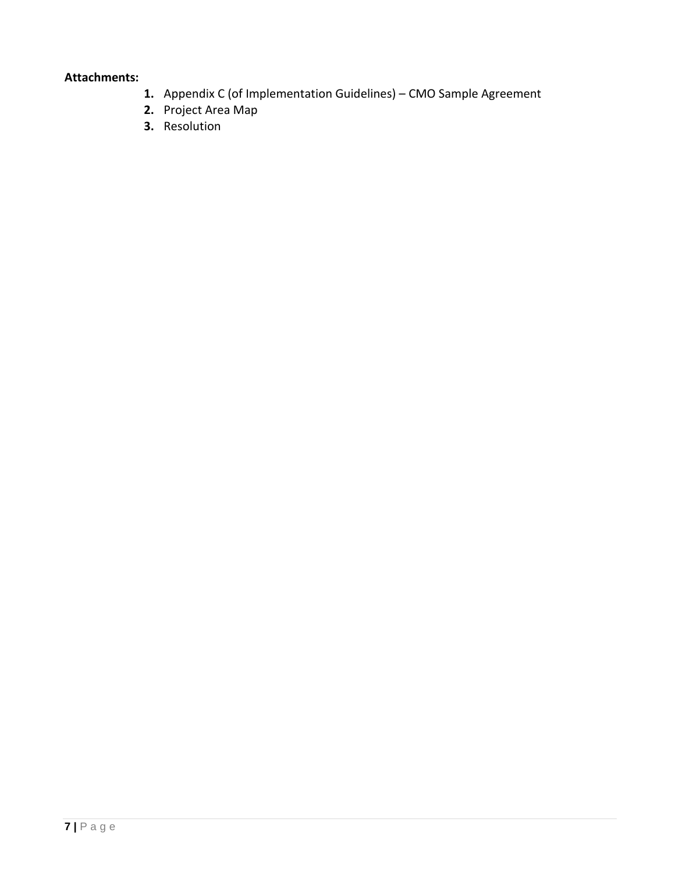### **Attachments:**

- **1.** Appendix C (of Implementation Guidelines) CMO Sample Agreement
- **2.** Project Area Map
- **3.** Resolution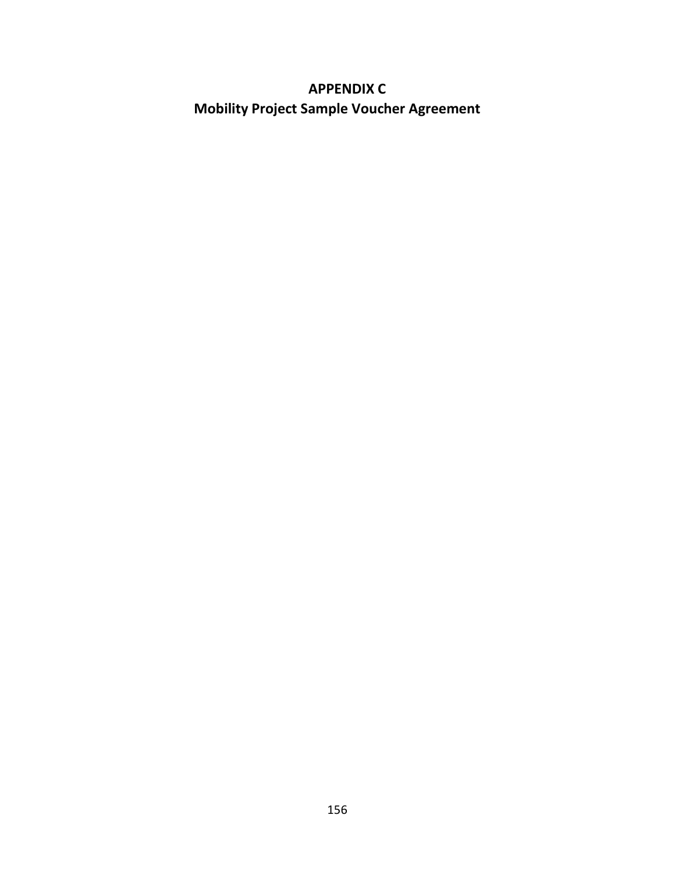# **APPENDIX C Mobility Project Sample Voucher Agreement**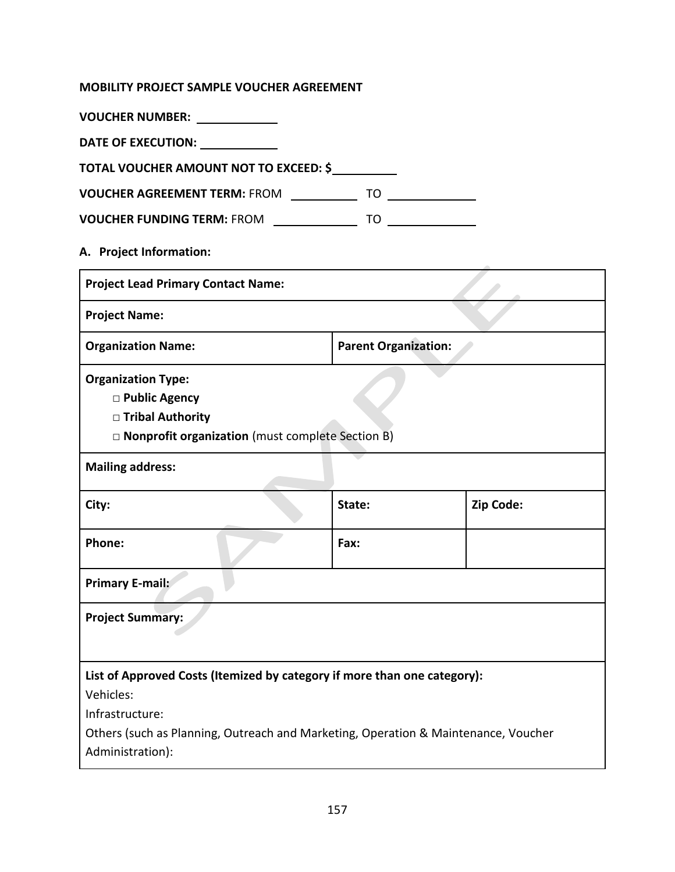# **MOBILITY PROJECT SAMPLE VOUCHER AGREEMENT**

| VOUCHER NUMBER: VOUCHER NUMBER:                                                                                                                                                                |                             |           |
|------------------------------------------------------------------------------------------------------------------------------------------------------------------------------------------------|-----------------------------|-----------|
| DATE OF EXECUTION: _____________                                                                                                                                                               |                             |           |
| TOTAL VOUCHER AMOUNT NOT TO EXCEED: \$                                                                                                                                                         |                             |           |
| VOUCHER AGREEMENT TERM: FROM ______________ TO ______________                                                                                                                                  |                             |           |
| VOUCHER FUNDING TERM: FROM ________________ TO ______________                                                                                                                                  |                             |           |
| A. Project Information:                                                                                                                                                                        |                             |           |
| <b>Project Lead Primary Contact Name:</b>                                                                                                                                                      |                             |           |
| <b>Project Name:</b>                                                                                                                                                                           |                             |           |
| <b>Organization Name:</b>                                                                                                                                                                      | <b>Parent Organization:</b> |           |
| <b>Organization Type:</b><br>□ Public Agency<br>□ Tribal Authority<br>□ Nonprofit organization (must complete Section B)                                                                       |                             |           |
| <b>Mailing address:</b>                                                                                                                                                                        |                             |           |
| City:                                                                                                                                                                                          | State:                      | Zip Code: |
| Phone:                                                                                                                                                                                         | Fax:                        |           |
| <b>Primary E-mail:</b>                                                                                                                                                                         |                             |           |
| <b>Project Summary:</b>                                                                                                                                                                        |                             |           |
| List of Approved Costs (Itemized by category if more than one category):<br>Vehicles:<br>Infrastructure:<br>Others (such as Planning, Outreach and Marketing, Operation & Maintenance, Voucher |                             |           |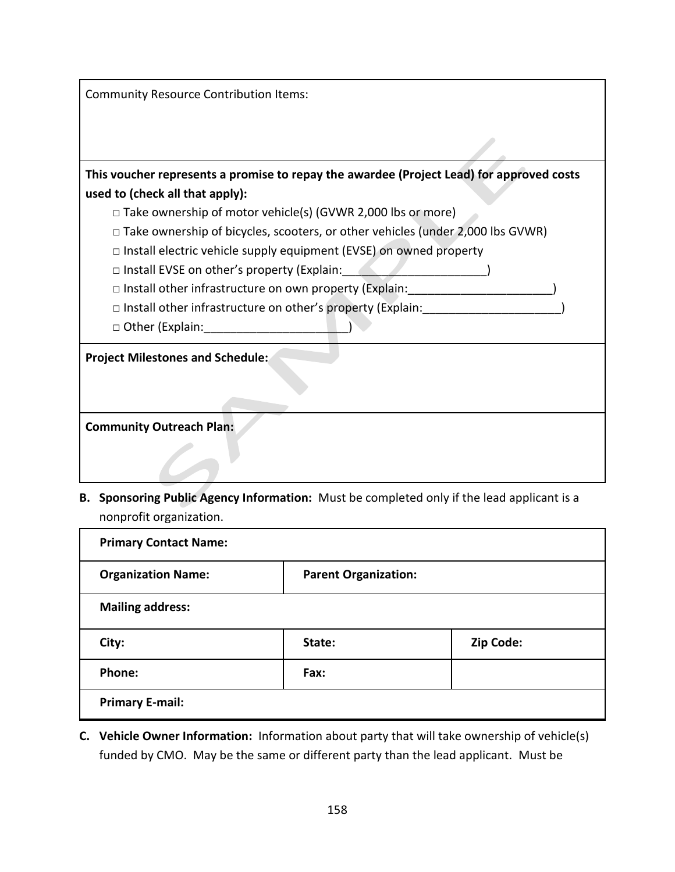| <b>Community Resource Contribution Items:</b>                                            |
|------------------------------------------------------------------------------------------|
|                                                                                          |
|                                                                                          |
| This voucher represents a promise to repay the awardee (Project Lead) for approved costs |
| used to (check all that apply):                                                          |
| $\Box$ Take ownership of motor vehicle(s) (GVWR 2,000 lbs or more)                       |
| $\Box$ Take ownership of bicycles, scooters, or other vehicles (under 2,000 lbs GVWR)    |
| $\Box$ Install electric vehicle supply equipment (EVSE) on owned property                |
| $\Box$ Install EVSE on other's property (Explain:                                        |
| $\Box$ Install other infrastructure on own property (Explain:                            |
| □ Install other infrastructure on other's property (Explain:                             |
| □ Other (Explain:                                                                        |
| <b>Project Milestones and Schedule:</b>                                                  |
|                                                                                          |
|                                                                                          |
| <b>Community Outreach Plan:</b>                                                          |
|                                                                                          |
|                                                                                          |

**B. Sponsoring Public Agency Information:** Must be completed only if the lead applicant is a nonprofit organization.

| <b>Primary Contact Name:</b> |                             |           |
|------------------------------|-----------------------------|-----------|
| <b>Organization Name:</b>    | <b>Parent Organization:</b> |           |
| <b>Mailing address:</b>      |                             |           |
| City:                        | State:                      | Zip Code: |
| Phone:                       | Fax:                        |           |
| <b>Primary E-mail:</b>       |                             |           |

**C. Vehicle Owner Information:** Information about party that will take ownership of vehicle(s) funded by CMO. May be the same or different party than the lead applicant. Must be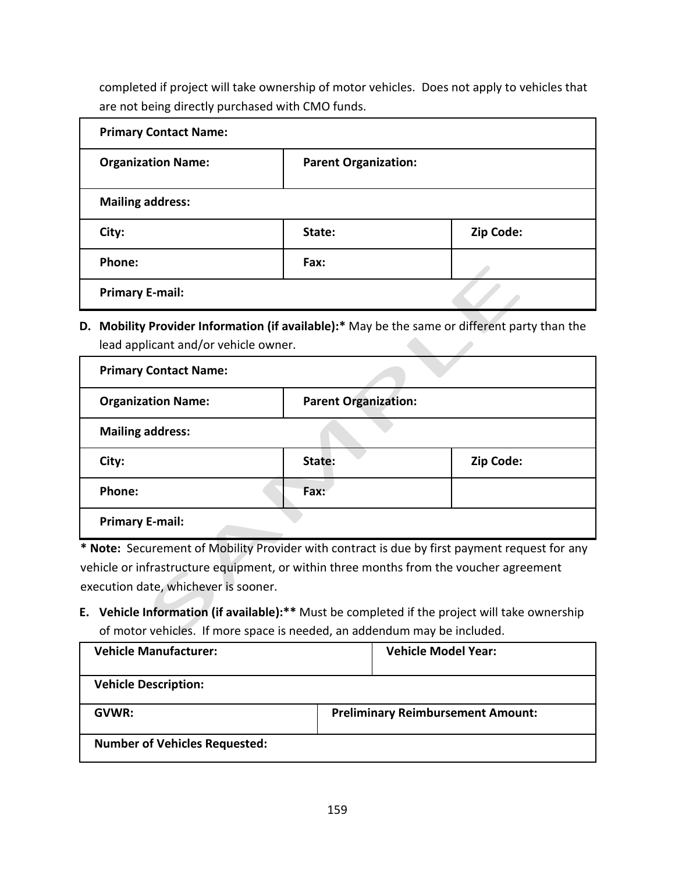completed if project will take ownership of motor vehicles. Does not apply to vehicles that are not being directly purchased with CMO funds.

| <b>Primary Contact Name:</b> |                             |           |
|------------------------------|-----------------------------|-----------|
| <b>Organization Name:</b>    | <b>Parent Organization:</b> |           |
| <b>Mailing address:</b>      |                             |           |
| City:                        | State:                      | Zip Code: |
| Phone:                       | Fax:                        |           |
| <b>Primary E-mail:</b>       |                             |           |

**D. Mobility Provider Information (if available):\*** May be the same or different party than the lead applicant and/or vehicle owner.

| <b>Primary Contact Name:</b> |                             |           |
|------------------------------|-----------------------------|-----------|
| <b>Organization Name:</b>    | <b>Parent Organization:</b> |           |
| <b>Mailing address:</b>      |                             |           |
| City:                        | State:                      | Zip Code: |
| Phone:                       | Fax:                        |           |
| <b>Primary E-mail:</b>       |                             |           |

**\* Note:** Securement of Mobility Provider with contract is due by first payment request for any vehicle or infrastructure equipment, or within three months from the voucher agreement execution date, whichever is sooner.

**E. Vehicle Information (if available):\*\*** Must be completed if the project will take ownership of motor vehicles. If more space is needed, an addendum may be included.

| <b>Vehicle Manufacturer:</b>         |                                          | <b>Vehicle Model Year:</b> |
|--------------------------------------|------------------------------------------|----------------------------|
| <b>Vehicle Description:</b>          |                                          |                            |
| GVWR:                                | <b>Preliminary Reimbursement Amount:</b> |                            |
| <b>Number of Vehicles Requested:</b> |                                          |                            |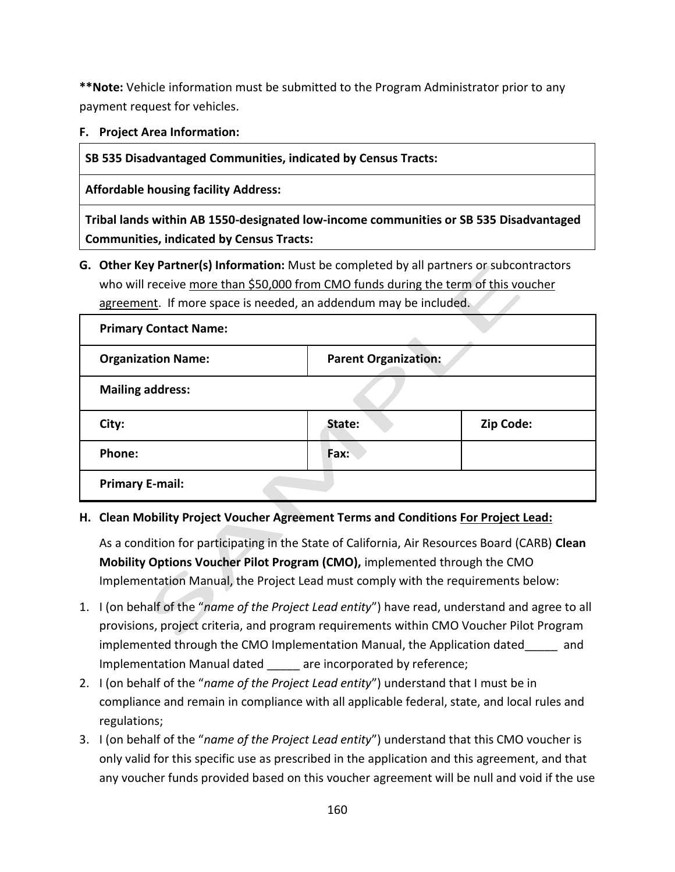**\*\*Note:** Vehicle information must be submitted to the Program Administrator prior to any payment request for vehicles.

# **F. Project Area Information:**

**SB 535 Disadvantaged Communities, indicated by Census Tracts:** 

**Affordable housing facility Address:**

**Tribal lands within AB 1550-designated low-income communities or SB 535 Disadvantaged Communities, indicated by Census Tracts:**

**G. Other Key Partner(s) Information:** Must be completed by all partners or subcontractors who will receive more than \$50,000 from CMO funds during the term of this voucher agreement. If more space is needed, an addendum may be included.

| <b>Primary Contact Name:</b> |                             |           |
|------------------------------|-----------------------------|-----------|
| <b>Organization Name:</b>    | <b>Parent Organization:</b> |           |
| <b>Mailing address:</b>      |                             |           |
| City:                        | State:                      | Zip Code: |
| <b>Phone:</b>                | Fax:                        |           |
| <b>Primary E-mail:</b>       |                             |           |

# **H. Clean Mobility Project Voucher Agreement Terms and Conditions For Project Lead:**

As a condition for participating in the State of California, Air Resources Board (CARB) **Clean Mobility Options Voucher Pilot Program (CMO),** implemented through the CMO Implementation Manual, the Project Lead must comply with the requirements below:

- 1. I (on behalf of the "*name of the Project Lead entity*") have read, understand and agree to all provisions, project criteria, and program requirements within CMO Voucher Pilot Program implemented through the CMO Implementation Manual, the Application dated\_\_\_\_\_ and Implementation Manual dated are incorporated by reference;
- 2. I (on behalf of the "*name of the Project Lead entity*") understand that I must be in compliance and remain in compliance with all applicable federal, state, and local rules and regulations;
- 3. I (on behalf of the "*name of the Project Lead entity*") understand that this CMO voucher is only valid for this specific use as prescribed in the application and this agreement, and that any voucher funds provided based on this voucher agreement will be null and void if the use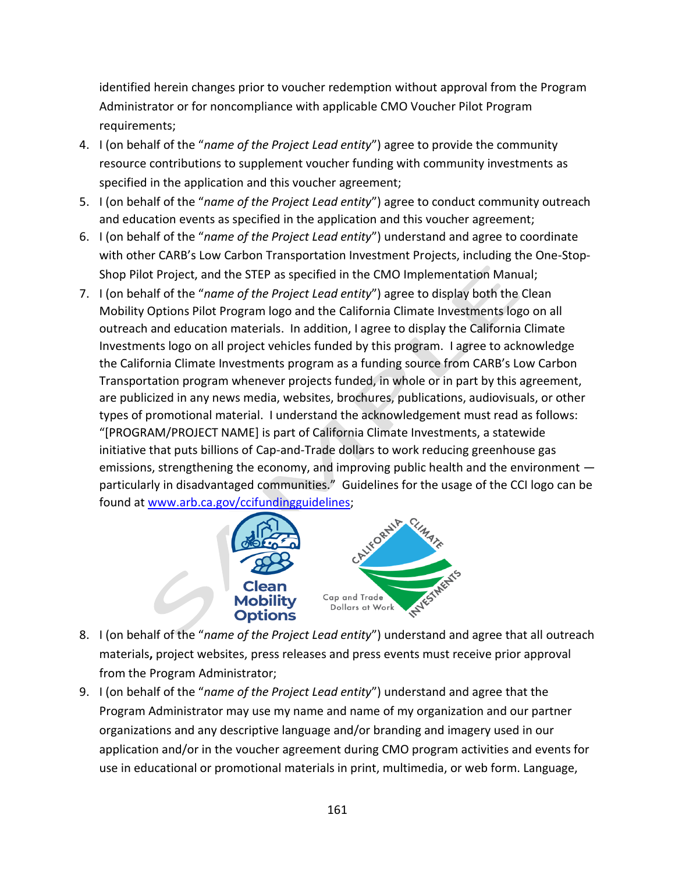identified herein changes prior to voucher redemption without approval from the Program Administrator or for noncompliance with applicable CMO Voucher Pilot Program requirements;

- 4. I (on behalf of the "*name of the Project Lead entity*") agree to provide the community resource contributions to supplement voucher funding with community investments as specified in the application and this voucher agreement;
- 5. I (on behalf of the "*name of the Project Lead entity*") agree to conduct community outreach and education events as specified in the application and this voucher agreement;
- 6. I (on behalf of the "*name of the Project Lead entity*") understand and agree to coordinate with other CARB's Low Carbon Transportation Investment Projects, including the One-Stop-Shop Pilot Project, and the STEP as specified in the CMO Implementation Manual;
- 7. I (on behalf of the "*name of the Project Lead entity*") agree to display both the Clean Mobility Options Pilot Program logo and the California Climate Investments logo on all outreach and education materials. In addition, I agree to display the California Climate Investments logo on all project vehicles funded by this program. I agree to acknowledge the California Climate Investments program as a funding source from CARB's Low Carbon Transportation program whenever projects funded, in whole or in part by this agreement, are publicized in any news media, websites, brochures, publications, audiovisuals, or other types of promotional material. I understand the acknowledgement must read as follows: "[PROGRAM/PROJECT NAME] is part of California Climate Investments, a statewide initiative that puts billions of Cap-and-Trade dollars to work reducing greenhouse gas emissions, strengthening the economy, and improving public health and the environment particularly in disadvantaged communities." Guidelines for the usage of the CCI logo can be found at [www.arb.ca.gov/ccifundingguidelines;](http://www.arb.ca.gov/ccifundingguidelines)



- 8. I (on behalf of the "*name of the Project Lead entity*") understand and agree that all outreach materials**,** project websites, press releases and press events must receive prior approval from the Program Administrator;
- 9. I (on behalf of the "*name of the Project Lead entity*") understand and agree that the Program Administrator may use my name and name of my organization and our partner organizations and any descriptive language and/or branding and imagery used in our application and/or in the voucher agreement during CMO program activities and events for use in educational or promotional materials in print, multimedia, or web form. Language,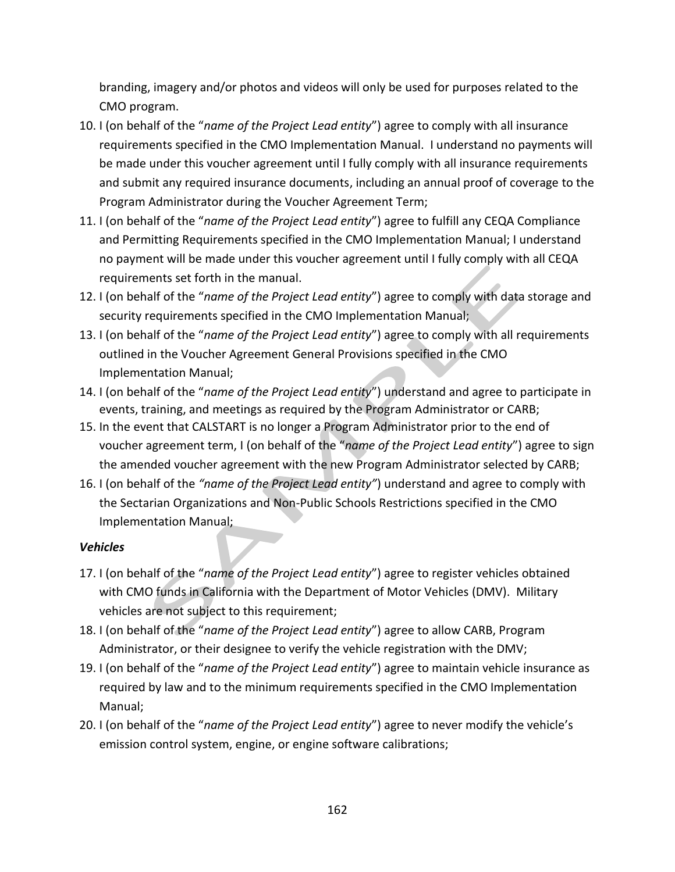branding, imagery and/or photos and videos will only be used for purposes related to the CMO program.

- 10. I (on behalf of the "*name of the Project Lead entity*") agree to comply with all insurance requirements specified in the CMO Implementation Manual. I understand no payments will be made under this voucher agreement until I fully comply with all insurance requirements and submit any required insurance documents, including an annual proof of coverage to the Program Administrator during the Voucher Agreement Term;
- 11. I (on behalf of the "*name of the Project Lead entity*") agree to fulfill any CEQA Compliance and Permitting Requirements specified in the CMO Implementation Manual; I understand no payment will be made under this voucher agreement until I fully comply with all CEQA requirements set forth in the manual.
- 12. I (on behalf of the "*name of the Project Lead entity*") agree to comply with data storage and security requirements specified in the CMO Implementation Manual;
- 13. I (on behalf of the "*name of the Project Lead entity*") agree to comply with all requirements outlined in the Voucher Agreement General Provisions specified in the CMO Implementation Manual;
- 14. I (on behalf of the "*name of the Project Lead entity*") understand and agree to participate in events, training, and meetings as required by the Program Administrator or CARB;
- 15. In the event that CALSTART is no longer a Program Administrator prior to the end of voucher agreement term, I (on behalf of the "*name of the Project Lead entity*") agree to sign the amended voucher agreement with the new Program Administrator selected by CARB;
- 16. I (on behalf of the "name of the Project Lead entity") understand and agree to comply with the Sectarian Organizations and Non-Public Schools Restrictions specified in the CMO Implementation Manual;

# *Vehicles*

- 17. I (on behalf of the "*name of the Project Lead entity*") agree to register vehicles obtained with CMO funds in California with the Department of Motor Vehicles (DMV). Military vehicles are not subject to this requirement;
- 18. I (on behalf of the "*name of the Project Lead entity*") agree to allow CARB, Program Administrator, or their designee to verify the vehicle registration with the DMV;
- 19. I (on behalf of the "*name of the Project Lead entity*") agree to maintain vehicle insurance as required by law and to the minimum requirements specified in the CMO Implementation Manual;
- 20. I (on behalf of the "*name of the Project Lead entity*") agree to never modify the vehicle's emission control system, engine, or engine software calibrations;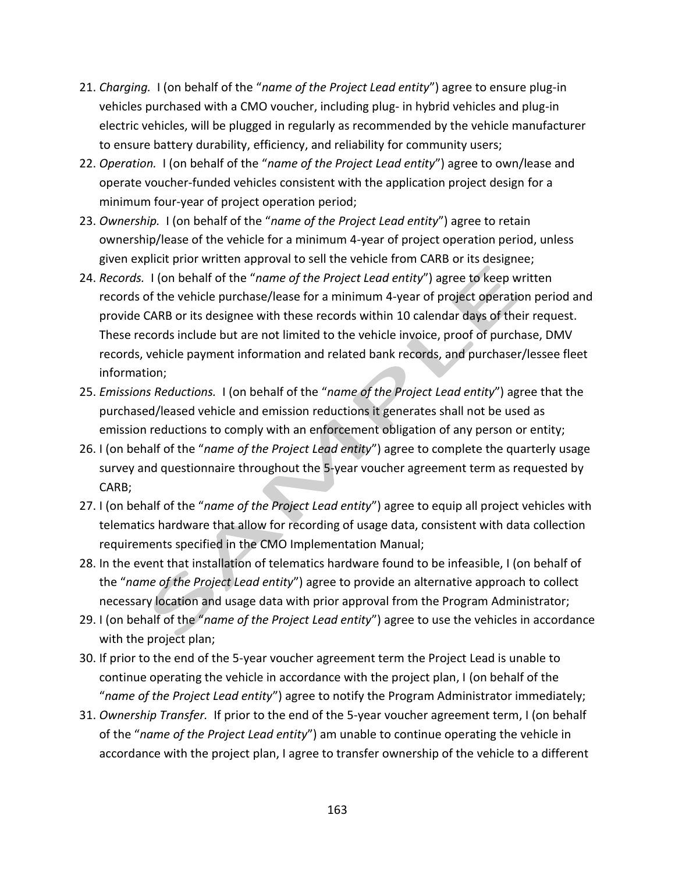- 21. *Charging.* I (on behalf of the "*name of the Project Lead entity*") agree to ensure plug-in vehicles purchased with a CMO voucher, including plug- in hybrid vehicles and plug-in electric vehicles, will be plugged in regularly as recommended by the vehicle manufacturer to ensure battery durability, efficiency, and reliability for community users;
- 22. *Operation.* I (on behalf of the "*name of the Project Lead entity*") agree to own/lease and operate voucher-funded vehicles consistent with the application project design for a minimum four-year of project operation period;
- 23. *Ownership.* I (on behalf of the "*name of the Project Lead entity*") agree to retain ownership/lease of the vehicle for a minimum 4-year of project operation period, unless given explicit prior written approval to sell the vehicle from CARB or its designee;
- 24. *Records.* I (on behalf of the "*name of the Project Lead entity*") agree to keep written records of the vehicle purchase/lease for a minimum 4-year of project operation period and provide CARB or its designee with these records within 10 calendar days of their request. These records include but are not limited to the vehicle invoice, proof of purchase, DMV records, vehicle payment information and related bank records, and purchaser/lessee fleet information;
- 25. *Emissions Reductions.* I (on behalf of the "*name of the Project Lead entity*") agree that the purchased/leased vehicle and emission reductions it generates shall not be used as emission reductions to comply with an enforcement obligation of any person or entity;
- 26. I (on behalf of the "*name of the Project Lead entity*") agree to complete the quarterly usage survey and questionnaire throughout the 5-year voucher agreement term as requested by CARB;
- 27. I (on behalf of the "*name of the Project Lead entity*") agree to equip all project vehicles with telematics hardware that allow for recording of usage data, consistent with data collection requirements specified in the CMO Implementation Manual;
- 28. In the event that installation of telematics hardware found to be infeasible, I (on behalf of the "*name of the Project Lead entity*") agree to provide an alternative approach to collect necessary location and usage data with prior approval from the Program Administrator;
- 29. I (on behalf of the "*name of the Project Lead entity*") agree to use the vehicles in accordance with the project plan;
- 30. If prior to the end of the 5-year voucher agreement term the Project Lead is unable to continue operating the vehicle in accordance with the project plan, I (on behalf of the "*name of the Project Lead entity*") agree to notify the Program Administrator immediately;
- 31. *Ownership Transfer.* If prior to the end of the 5-year voucher agreement term, I (on behalf of the "*name of the Project Lead entity*") am unable to continue operating the vehicle in accordance with the project plan, I agree to transfer ownership of the vehicle to a different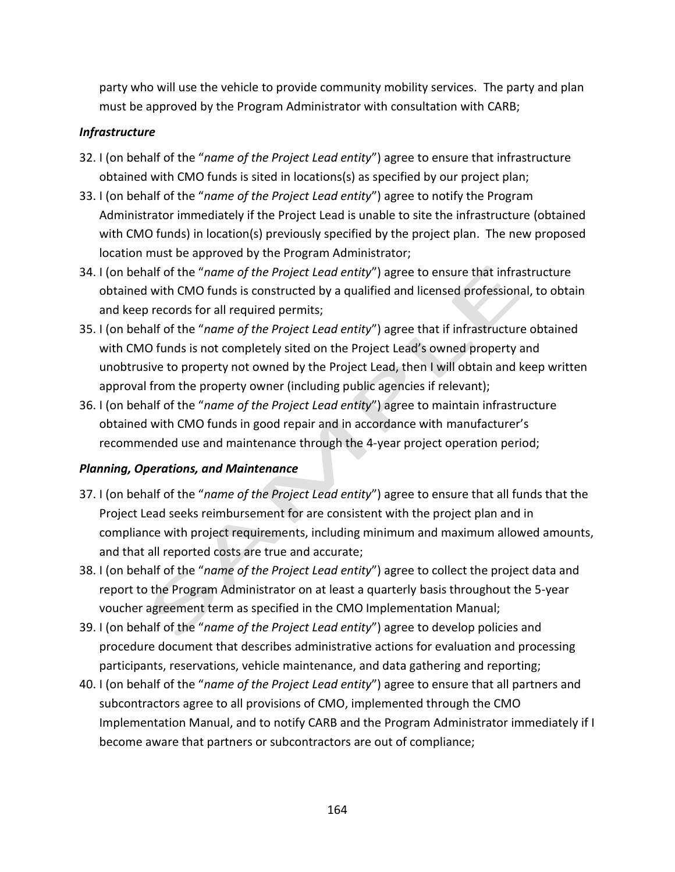party who will use the vehicle to provide community mobility services. The party and plan must be approved by the Program Administrator with consultation with CARB;

# *Infrastructure*

- 32. I (on behalf of the "*name of the Project Lead entity*") agree to ensure that infrastructure obtained with CMO funds is sited in locations(s) as specified by our project plan;
- 33. I (on behalf of the "*name of the Project Lead entity*") agree to notify the Program Administrator immediately if the Project Lead is unable to site the infrastructure (obtained with CMO funds) in location(s) previously specified by the project plan. The new proposed location must be approved by the Program Administrator;
- 34. I (on behalf of the "*name of the Project Lead entity*") agree to ensure that infrastructure obtained with CMO funds is constructed by a qualified and licensed professional, to obtain and keep records for all required permits;
- 35. I (on behalf of the "*name of the Project Lead entity*") agree that if infrastructure obtained with CMO funds is not completely sited on the Project Lead's owned property and unobtrusive to property not owned by the Project Lead, then I will obtain and keep written approval from the property owner (including public agencies if relevant);
- 36. I (on behalf of the "*name of the Project Lead entity*") agree to maintain infrastructure obtained with CMO funds in good repair and in accordance with manufacturer's recommended use and maintenance through the 4-year project operation period;

# *Planning, Operations, and Maintenance*

- 37. I (on behalf of the "*name of the Project Lead entity*") agree to ensure that all funds that the Project Lead seeks reimbursement for are consistent with the project plan and in compliance with project requirements, including minimum and maximum allowed amounts, and that all reported costs are true and accurate;
- 38. I (on behalf of the "*name of the Project Lead entity*") agree to collect the project data and report to the Program Administrator on at least a quarterly basis throughout the 5-year voucher agreement term as specified in the CMO Implementation Manual;
- 39. I (on behalf of the "*name of the Project Lead entity*") agree to develop policies and procedure document that describes administrative actions for evaluation and processing participants, reservations, vehicle maintenance, and data gathering and reporting;
- 40. I (on behalf of the "*name of the Project Lead entity*") agree to ensure that all partners and subcontractors agree to all provisions of CMO, implemented through the CMO Implementation Manual, and to notify CARB and the Program Administrator immediately if I become aware that partners or subcontractors are out of compliance;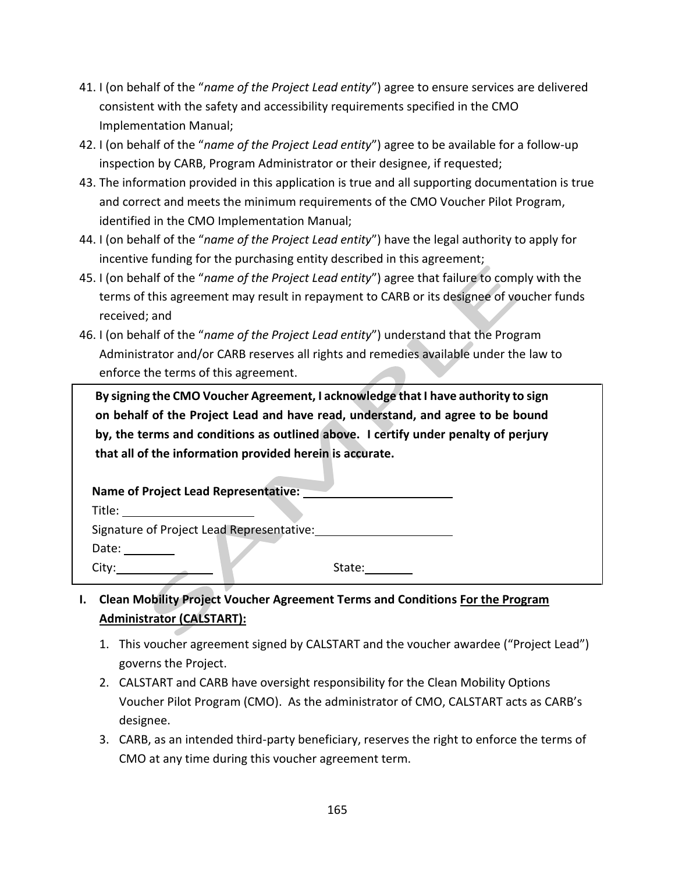- 41. I (on behalf of the "*name of the Project Lead entity*") agree to ensure services are delivered consistent with the safety and accessibility requirements specified in the CMO Implementation Manual;
- 42. I (on behalf of the "*name of the Project Lead entity*") agree to be available for a follow-up inspection by CARB, Program Administrator or their designee, if requested;
- 43. The information provided in this application is true and all supporting documentation is true and correct and meets the minimum requirements of the CMO Voucher Pilot Program, identified in the CMO Implementation Manual;
- 44. I (on behalf of the "*name of the Project Lead entity*") have the legal authority to apply for incentive funding for the purchasing entity described in this agreement;
- 45. I (on behalf of the "*name of the Project Lead entity*") agree that failure to comply with the terms of this agreement may result in repayment to CARB or its designee of voucher funds received; and
- 46. I (on behalf of the "*name of the Project Lead entity*") understand that the Program Administrator and/or CARB reserves all rights and remedies available under the law to enforce the terms of this agreement.

**By signing the CMO Voucher Agreement, I acknowledge that I have authority to sign on behalf of the Project Lead and have read, understand, and agree to be bound by, the terms and conditions as outlined above. I certify under penalty of perjury that all of the information provided herein is accurate.**

| Name of Project Lead Representative:      |        |
|-------------------------------------------|--------|
| Title:                                    |        |
| Signature of Project Lead Representative: |        |
| Date:                                     |        |
| Citv:                                     | State: |

- **I. Clean Mobility Project Voucher Agreement Terms and Conditions For the Program Administrator (CALSTART):**
	- 1. This voucher agreement signed by CALSTART and the voucher awardee ("Project Lead") governs the Project.
	- 2. CALSTART and CARB have oversight responsibility for the Clean Mobility Options Voucher Pilot Program (CMO). As the administrator of CMO, CALSTART acts as CARB's designee.
	- 3. CARB, as an intended third-party beneficiary, reserves the right to enforce the terms of CMO at any time during this voucher agreement term.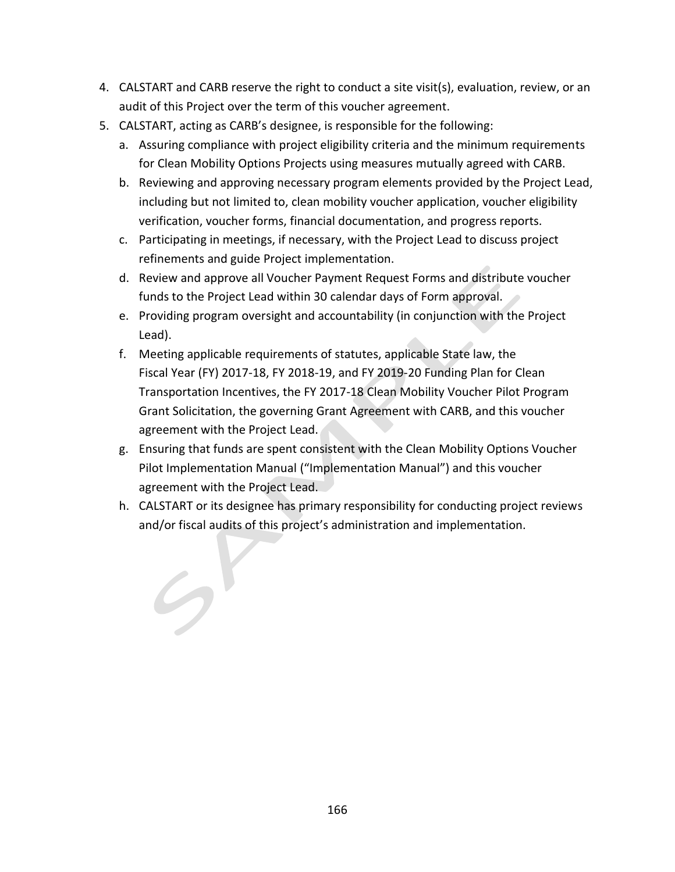- 4. CALSTART and CARB reserve the right to conduct a site visit(s), evaluation, review, or an audit of this Project over the term of this voucher agreement.
- 5. CALSTART, acting as CARB's designee, is responsible for the following:
	- a. Assuring compliance with project eligibility criteria and the minimum requirements for Clean Mobility Options Projects using measures mutually agreed with CARB.
	- b. Reviewing and approving necessary program elements provided by the Project Lead, including but not limited to, clean mobility voucher application, voucher eligibility verification, voucher forms, financial documentation, and progress reports.
	- c. Participating in meetings, if necessary, with the Project Lead to discuss project refinements and guide Project implementation.
	- d. Review and approve all Voucher Payment Request Forms and distribute voucher funds to the Project Lead within 30 calendar days of Form approval.
	- e. Providing program oversight and accountability (in conjunction with the Project Lead).
	- f. Meeting applicable requirements of statutes, applicable State law, the Fiscal Year (FY) 2017-18, FY 2018-19, and FY 2019-20 Funding Plan for Clean Transportation Incentives, the FY 2017-18 Clean Mobility Voucher Pilot Program Grant Solicitation, the governing Grant Agreement with CARB, and this voucher agreement with the Project Lead.
	- g. Ensuring that funds are spent consistent with the Clean Mobility Options Voucher Pilot Implementation Manual ("Implementation Manual") and this voucher agreement with the Project Lead.
	- h. CALSTART or its designee has primary responsibility for conducting project reviews and/or fiscal audits of this project's administration and implementation.

 $\mathcal{G}^{\prime}$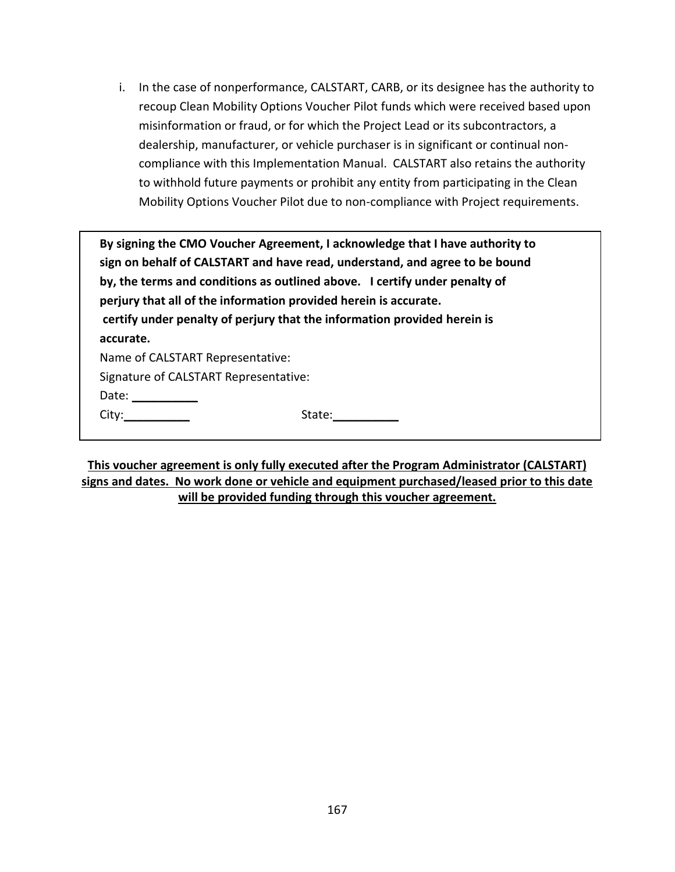i. In the case of nonperformance, CALSTART, CARB, or its designee has the authority to recoup Clean Mobility Options Voucher Pilot funds which were received based upon misinformation or fraud, or for which the Project Lead or its subcontractors, a dealership, manufacturer, or vehicle purchaser is in significant or continual noncompliance with this Implementation Manual. CALSTART also retains the authority to withhold future payments or prohibit any entity from participating in the Clean Mobility Options Voucher Pilot due to non-compliance with Project requirements.

|                                                                                                                                               | By signing the CMO Voucher Agreement, I acknowledge that I have authority to<br>sign on behalf of CALSTART and have read, understand, and agree to be bound |  |  |
|-----------------------------------------------------------------------------------------------------------------------------------------------|-------------------------------------------------------------------------------------------------------------------------------------------------------------|--|--|
|                                                                                                                                               | by, the terms and conditions as outlined above. I certify under penalty of                                                                                  |  |  |
|                                                                                                                                               | perjury that all of the information provided herein is accurate.                                                                                            |  |  |
|                                                                                                                                               | certify under penalty of perjury that the information provided herein is                                                                                    |  |  |
| accurate.                                                                                                                                     |                                                                                                                                                             |  |  |
| Name of CALSTART Representative:                                                                                                              |                                                                                                                                                             |  |  |
| Signature of CALSTART Representative:                                                                                                         |                                                                                                                                                             |  |  |
| Date: $\frac{1}{\sqrt{1-\frac{1}{2}}\cdot\frac{1}{\sqrt{1-\frac{1}{2}}\cdot\frac{1}{2}}\cdot\frac{1}{\sqrt{1-\frac{1}{2}}\cdot\frac{1}{2}}}}$ |                                                                                                                                                             |  |  |
| City: the control of the control of the control of the control of the control of the control of the control of                                | State:                                                                                                                                                      |  |  |

**This voucher agreement is only fully executed after the Program Administrator (CALSTART) signs and dates. No work done or vehicle and equipment purchased/leased prior to this date will be provided funding through this voucher agreement.**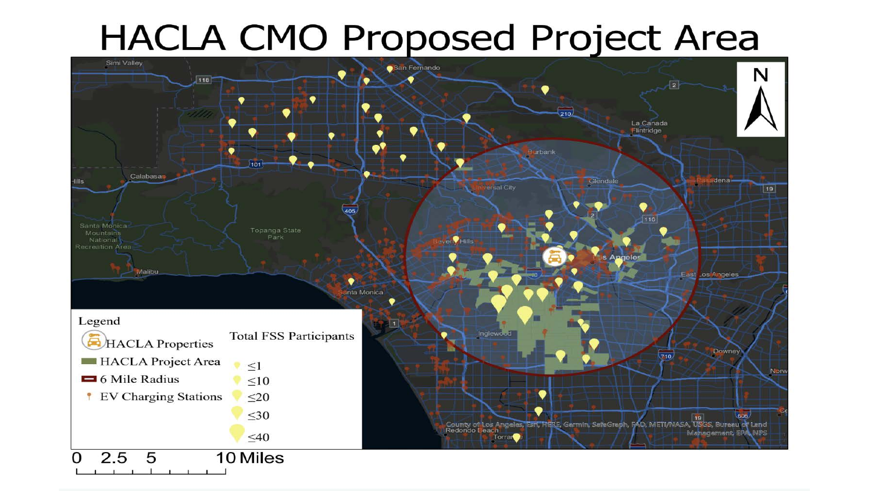# **HACLA CMO Proposed Project Area**

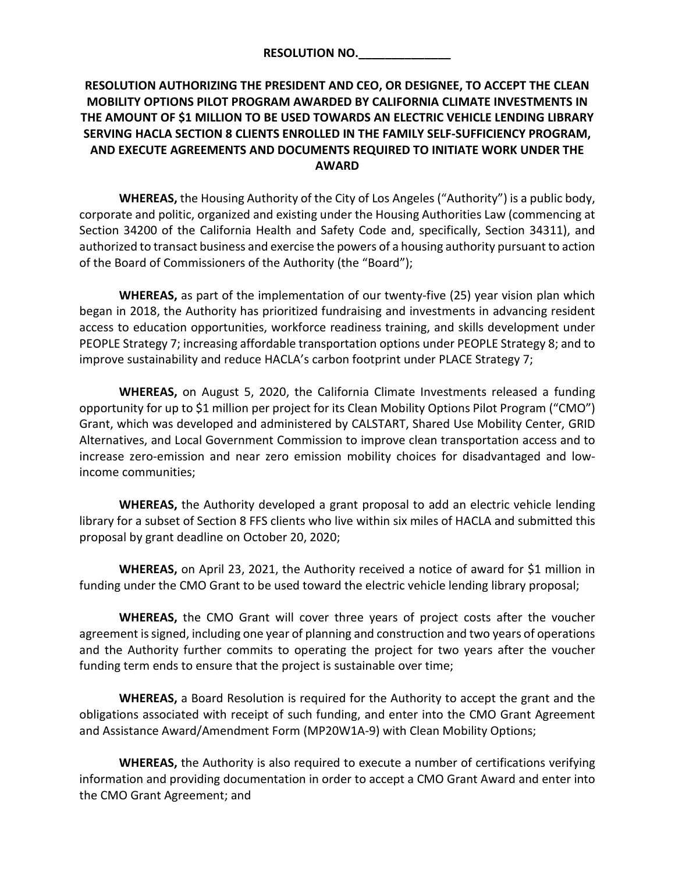# **RESOLUTION AUTHORIZING THE PRESIDENT AND CEO, OR DESIGNEE, TO ACCEPT THE CLEAN MOBILITY OPTIONS PILOT PROGRAM AWARDED BY CALIFORNIA CLIMATE INVESTMENTS IN THE AMOUNT OF \$1 MILLION TO BE USED TOWARDS AN ELECTRIC VEHICLE LENDING LIBRARY SERVING HACLA SECTION 8 CLIENTS ENROLLED IN THE FAMILY SELF-SUFFICIENCY PROGRAM, AND EXECUTE AGREEMENTS AND DOCUMENTS REQUIRED TO INITIATE WORK UNDER THE AWARD**

**WHEREAS,** the Housing Authority of the City of Los Angeles ("Authority") is a public body, corporate and politic, organized and existing under the Housing Authorities Law (commencing at Section 34200 of the California Health and Safety Code and, specifically, Section 34311), and authorized to transact business and exercise the powers of a housing authority pursuant to action of the Board of Commissioners of the Authority (the "Board");

**WHEREAS,** as part of the implementation of our twenty-five (25) year vision plan which began in 2018, the Authority has prioritized fundraising and investments in advancing resident access to education opportunities, workforce readiness training, and skills development under PEOPLE Strategy 7; increasing affordable transportation options under PEOPLE Strategy 8; and to improve sustainability and reduce HACLA's carbon footprint under PLACE Strategy 7;

**WHEREAS,** on August 5, 2020, the California Climate Investments released a funding opportunity for up to \$1 million per project for its Clean Mobility Options Pilot Program ("CMO") Grant, which was developed and administered by CALSTART, Shared Use Mobility Center, GRID Alternatives, and Local Government Commission to improve clean transportation access and to increase zero-emission and near zero emission mobility choices for disadvantaged and lowincome communities;

**WHEREAS,** the Authority developed a grant proposal to add an electric vehicle lending library for a subset of Section 8 FFS clients who live within six miles of HACLA and submitted this proposal by grant deadline on October 20, 2020;

**WHEREAS,** on April 23, 2021, the Authority received a notice of award for \$1 million in funding under the CMO Grant to be used toward the electric vehicle lending library proposal;

**WHEREAS,** the CMO Grant will cover three years of project costs after the voucher agreement is signed, including one year of planning and construction and two years of operations and the Authority further commits to operating the project for two years after the voucher funding term ends to ensure that the project is sustainable over time;

**WHEREAS,** a Board Resolution is required for the Authority to accept the grant and the obligations associated with receipt of such funding, and enter into the CMO Grant Agreement and Assistance Award/Amendment Form (MP20W1A-9) with Clean Mobility Options;

**WHEREAS,** the Authority is also required to execute a number of certifications verifying information and providing documentation in order to accept a CMO Grant Award and enter into the CMO Grant Agreement; and